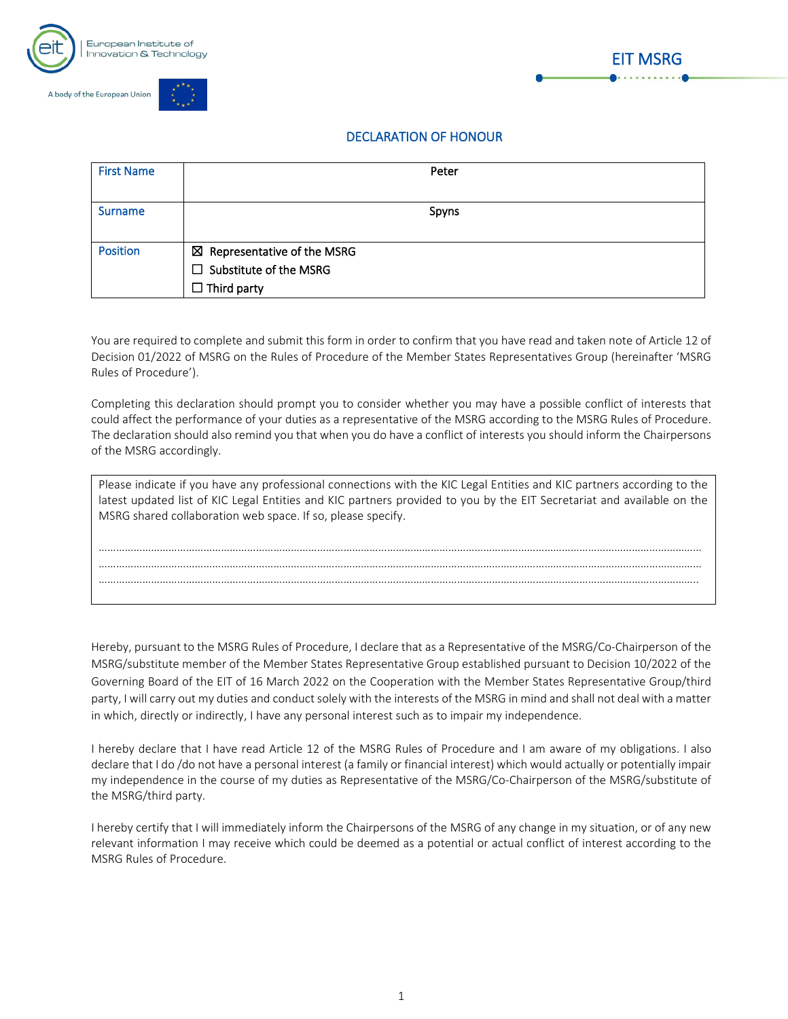





## DECLARATION OF HONOUR

| <b>First Name</b> | Peter                                  |
|-------------------|----------------------------------------|
|                   |                                        |
| <b>Surname</b>    | Spyns                                  |
|                   |                                        |
| <b>Position</b>   | $\boxtimes$ Representative of the MSRG |
|                   | $\Box$ Substitute of the MSRG          |
|                   | $\Box$ Third party                     |

You are required to complete and submit this form in order to confirm that you have read and taken note of Article 12 of Decision 01/2022 of MSRG on the Rules of Procedure of the Member States Representatives Group (hereinafter 'MSRG Rules of Procedure').

Completing this declaration should prompt you to consider whether you may have a possible conflict of interests that could affect the performance of your duties as a representative of the MSRG according to the MSRG Rules of Procedure. The declaration should also remind you that when you do have a conflict of interests you should inform the Chairpersons of the MSRG accordingly.

| Please indicate if you have any professional connections with the KIC Legal Entities and KIC partners according to the<br>latest updated list of KIC Legal Entities and KIC partners provided to you by the EIT Secretariat and available on the<br>MSRG shared collaboration web space. If so, please specify. |  |  |  |  |
|-----------------------------------------------------------------------------------------------------------------------------------------------------------------------------------------------------------------------------------------------------------------------------------------------------------------|--|--|--|--|
|                                                                                                                                                                                                                                                                                                                 |  |  |  |  |
|                                                                                                                                                                                                                                                                                                                 |  |  |  |  |
|                                                                                                                                                                                                                                                                                                                 |  |  |  |  |
|                                                                                                                                                                                                                                                                                                                 |  |  |  |  |
|                                                                                                                                                                                                                                                                                                                 |  |  |  |  |

Hereby, pursuant to the MSRG Rules of Procedure, I declare that as a Representative of the MSRG/Co-Chairperson of the MSRG/substitute member of the Member States Representative Group established pursuant to Decision 10/2022 of the Governing Board of the EIT of 16 March 2022 on the Cooperation with the Member States Representative Group/third party, I will carry out my duties and conduct solely with the interests of the MSRG in mind and shall not deal with a matter in which, directly or indirectly, I have any personal interest such as to impair my independence.

I hereby declare that I have read Article 12 of the MSRG Rules of Procedure and I am aware of my obligations. I also declare that I do /do not have a personal interest (a family or financial interest) which would actually or potentially impair my independence in the course of my duties as Representative of the MSRG/Co-Chairperson of the MSRG/substitute of the MSRG/third party.

I hereby certify that I will immediately inform the Chairpersons of the MSRG of any change in my situation, or of any new relevant information I may receive which could be deemed as a potential or actual conflict of interest according to the MSRG Rules of Procedure.